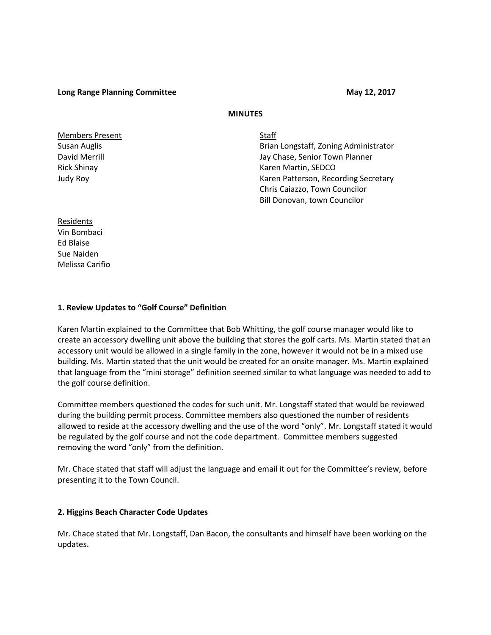**Long Range Planning Committee May 12, 2017** 

## **MINUTES**

Members Present Staff

Susan Auglis Brian Longstaff, Zoning Administrator David Merrill **David Merrill** Jay Chase, Senior Town Planner Rick Shinay **Karen Martin, SEDCO** Judy Roy Karen Patterson, Recording Secretary Chris Caiazzo, Town Councilor Bill Donovan, town Councilor

Residents Vin Bombaci Ed Blaise Sue Naiden Melissa Carifio

## **1. Review Updates to "Golf Course" Definition**

Karen Martin explained to the Committee that Bob Whitting, the golf course manager would like to create an accessory dwelling unit above the building that stores the golf carts. Ms. Martin stated that an accessory unit would be allowed in a single family in the zone, however it would not be in a mixed use building. Ms. Martin stated that the unit would be created for an onsite manager. Ms. Martin explained that language from the "mini storage" definition seemed similar to what language was needed to add to the golf course definition.

Committee members questioned the codes for such unit. Mr. Longstaff stated that would be reviewed during the building permit process. Committee members also questioned the number of residents allowed to reside at the accessory dwelling and the use of the word "only". Mr. Longstaff stated it would be regulated by the golf course and not the code department. Committee members suggested removing the word "only" from the definition.

Mr. Chace stated that staff will adjust the language and email it out for the Committee's review, before presenting it to the Town Council.

## **2. Higgins Beach Character Code Updates**

Mr. Chace stated that Mr. Longstaff, Dan Bacon, the consultants and himself have been working on the updates.